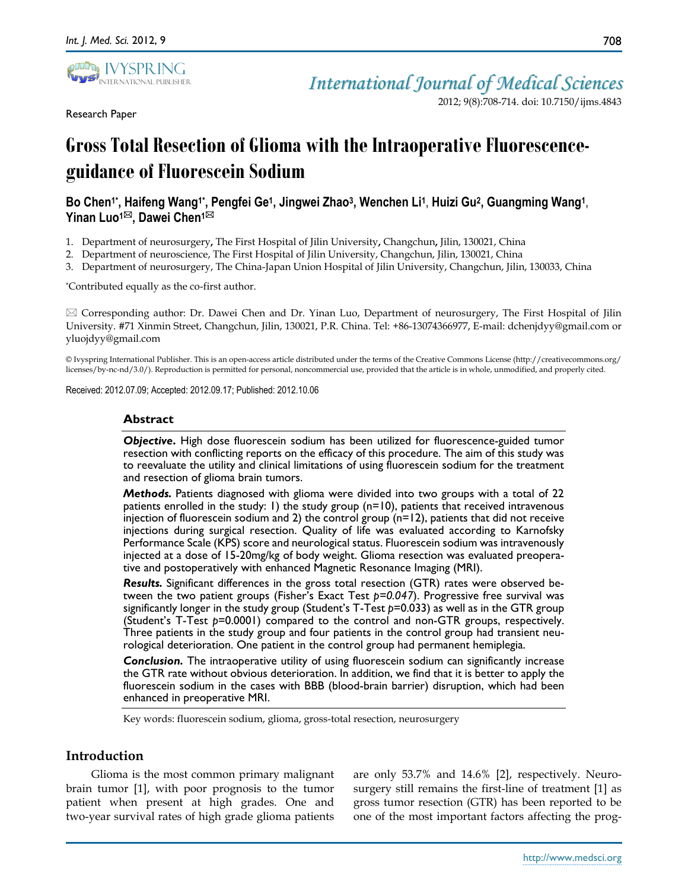

Research Paper

2012; 9(8):708-714. doi: 10.7150/ijms.4843

# **Gross Total Resection of Glioma with the Intraoperative Fluorescenceguidance of Fluorescein Sodium**

# **Bo Chen1\* , Haifeng Wang1\* , Pengfei Ge<sup>1</sup> , Jingwei Zhao<sup>3</sup> , Wenchen Li<sup>1</sup>** , **Huizi Gu<sup>2</sup> , Guangming Wang<sup>1</sup>** , **Yinan Luo1, Dawei Chen1**

- 1. Department of neurosurgery**,** The First Hospital of Jilin University**,** Changchun**,** Jilin, 130021, China
- 2. Department of neuroscience, The First Hospital of Jilin University, Changchun, Jilin, 130021, China
- 3. Department of neurosurgery, The China-Japan Union Hospital of Jilin University, Changchun, Jilin, 130033, China

\*Contributed equally as the co-first author.

 $\boxtimes$  Corresponding author: Dr. Dawei Chen and Dr. Yinan Luo, Department of neurosurgery, The First Hospital of Jilin University. #71 Xinmin Street, Changchun, Jilin, 130021, P.R. China. Tel: +86-13074366977, E-mail: dchenjdyy@gmail.com or yluojdyy@gmail.com

© Ivyspring International Publisher. This is an open-access article distributed under the terms of the Creative Commons License (http://creativecommons.org/ licenses/by-nc-nd/3.0/). Reproduction is permitted for personal, noncommercial use, provided that the article is in whole, unmodified, and properly cited.

Received: 2012.07.09; Accepted: 2012.09.17; Published: 2012.10.06

#### **Abstract**

*Objective***.** High dose fluorescein sodium has been utilized for fluorescence-guided tumor resection with conflicting reports on the efficacy of this procedure. The aim of this study was to reevaluate the utility and clinical limitations of using fluorescein sodium for the treatment and resection of glioma brain tumors.

*Methods.* Patients diagnosed with glioma were divided into two groups with a total of 22 patients enrolled in the study: 1) the study group  $(n=10)$ , patients that received intravenous injection of fluorescein sodium and 2) the control group (n=12), patients that did not receive injections during surgical resection. Quality of life was evaluated according to Karnofsky Performance Scale (KPS) score and neurological status. Fluorescein sodium was intravenously injected at a dose of 15-20mg/kg of body weight. Glioma resection was evaluated preoperative and postoperatively with enhanced Magnetic Resonance Imaging (MRI).

*Results.* Significant differences in the gross total resection (GTR) rates were observed between the two patient groups (Fisher's Exact Test *p=0.047*). Progressive free survival was significantly longer in the study group (Student's T-Test *p*=0.033) as well as in the GTR group (Student's T-Test *p*=0.0001) compared to the control and non-GTR groups, respectively. Three patients in the study group and four patients in the control group had transient neurological deterioration. One patient in the control group had permanent hemiplegia.

*Conclusion.* The intraoperative utility of using fluorescein sodium can significantly increase the GTR rate without obvious deterioration. In addition, we find that it is better to apply the fluorescein sodium in the cases with BBB (blood-brain barrier) disruption, which had been enhanced in preoperative MRI.

Key words: fluorescein sodium, glioma, gross-total resection, neurosurgery

## **Introduction**

Glioma is the most common primary malignant brain tumor [1], with poor prognosis to the tumor patient when present at high grades. One and two-year survival rates of high grade glioma patients

are only 53.7% and 14.6% [2], respectively. Neurosurgery still remains the first-line of treatment [1] as gross tumor resection (GTR) has been reported to be one of the most important factors affecting the prog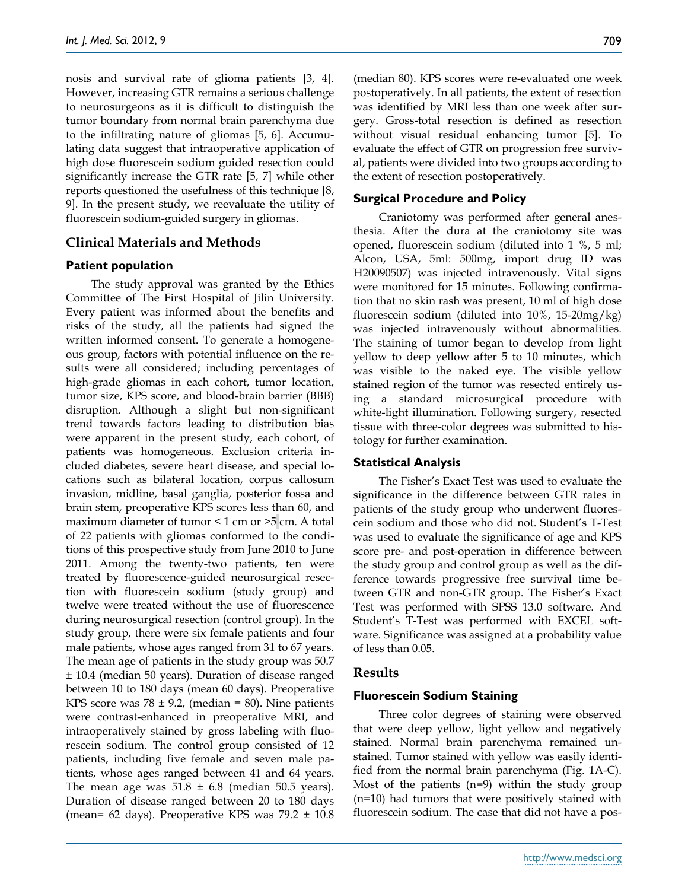nosis and survival rate of glioma patients [3, 4]. However, increasing GTR remains a serious challenge to neurosurgeons as it is difficult to distinguish the tumor boundary from normal brain parenchyma due to the infiltrating nature of gliomas [5, 6]. Accumulating data suggest that intraoperative application of high dose fluorescein sodium guided resection could significantly increase the GTR rate [5, 7] while other reports questioned the usefulness of this technique [8, 9]. In the present study, we reevaluate the utility of fluorescein sodium-guided surgery in gliomas.

## **Clinical Materials and Methods**

#### **Patient population**

The study approval was granted by the Ethics Committee of The First Hospital of Jilin University. Every patient was informed about the benefits and risks of the study, all the patients had signed the written informed consent. To generate a homogeneous group, factors with potential influence on the results were all considered; including percentages of high-grade gliomas in each cohort, tumor location, tumor size, KPS score, and blood-brain barrier (BBB) disruption. Although a slight but non-significant trend towards factors leading to distribution bias were apparent in the present study, each cohort, of patients was homogeneous. Exclusion criteria included diabetes, severe heart disease, and special locations such as bilateral location, corpus callosum invasion, midline, basal ganglia, posterior fossa and brain stem, preoperative KPS scores less than 60, and maximum diameter of tumor < 1 cm or >5 cm. A total of 22 patients with gliomas conformed to the conditions of this prospective study from June 2010 to June 2011. Among the twenty-two patients, ten were treated by fluorescence-guided neurosurgical resection with fluorescein sodium (study group) and twelve were treated without the use of fluorescence during neurosurgical resection (control group). In the study group, there were six female patients and four male patients, whose ages ranged from 31 to 67 years. The mean age of patients in the study group was 50.7 ± 10.4 (median 50 years). Duration of disease ranged between 10 to 180 days (mean 60 days). Preoperative KPS score was  $78 \pm 9.2$ , (median = 80). Nine patients were contrast-enhanced in preoperative MRI, and intraoperatively stained by gross labeling with fluorescein sodium. The control group consisted of 12 patients, including five female and seven male patients, whose ages ranged between 41 and 64 years. The mean age was  $51.8 \pm 6.8$  (median 50.5 years). Duration of disease ranged between 20 to 180 days (mean= 62 days). Preoperative KPS was  $79.2 \pm 10.8$ 

(median 80). KPS scores were re-evaluated one week postoperatively. In all patients, the extent of resection was identified by MRI less than one week after surgery. Gross-total resection is defined as resection without visual residual enhancing tumor [5]. To evaluate the effect of GTR on progression free survival, patients were divided into two groups according to the extent of resection postoperatively.

#### **Surgical Procedure and Policy**

Craniotomy was performed after general anesthesia. After the dura at the craniotomy site was opened, fluorescein sodium (diluted into 1 %, 5 ml; Alcon, USA, 5ml: 500mg, import drug ID was H20090507) was injected intravenously. Vital signs were monitored for 15 minutes. Following confirmation that no skin rash was present, 10 ml of high dose fluorescein sodium (diluted into 10%, 15-20mg/kg) was injected intravenously without abnormalities. The staining of tumor began to develop from light yellow to deep yellow after 5 to 10 minutes, which was visible to the naked eye. The visible yellow stained region of the tumor was resected entirely using a standard microsurgical procedure with white-light illumination. Following surgery, resected tissue with three-color degrees was submitted to histology for further examination.

## **Statistical Analysis**

The Fisher's Exact Test was used to evaluate the significance in the difference between GTR rates in patients of the study group who underwent fluorescein sodium and those who did not. Student's T-Test was used to evaluate the significance of age and KPS score pre- and post-operation in difference between the study group and control group as well as the difference towards progressive free survival time between GTR and non-GTR group. The Fisher's Exact Test was performed with SPSS 13.0 software. And Student's T-Test was performed with EXCEL software. Significance was assigned at a probability value of less than 0.05.

## **Results**

## **Fluorescein Sodium Staining**

Three color degrees of staining were observed that were deep yellow, light yellow and negatively stained. Normal brain parenchyma remained unstained. Tumor stained with yellow was easily identified from the normal brain parenchyma (Fig. 1A-C). Most of the patients  $(n=9)$  within the study group (n=10) had tumors that were positively stained with fluorescein sodium. The case that did not have a pos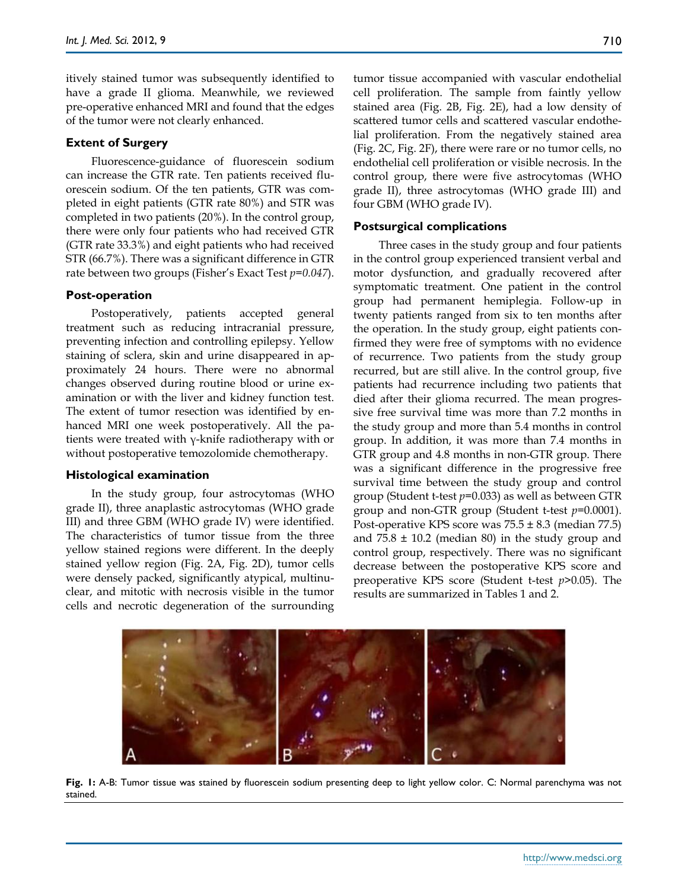itively stained tumor was subsequently identified to have a grade II glioma. Meanwhile, we reviewed pre-operative enhanced MRI and found that the edges of the tumor were not clearly enhanced.

#### **Extent of Surgery**

Fluorescence-guidance of fluorescein sodium can increase the GTR rate. Ten patients received fluorescein sodium. Of the ten patients, GTR was completed in eight patients (GTR rate 80%) and STR was completed in two patients (20%). In the control group, there were only four patients who had received GTR (GTR rate 33.3%) and eight patients who had received STR (66.7%). There was a significant difference in GTR rate between two groups (Fisher's Exact Test *p=0.047*).

#### **Post-operation**

Postoperatively, patients accepted general treatment such as reducing intracranial pressure, preventing infection and controlling epilepsy. Yellow staining of sclera, skin and urine disappeared in approximately 24 hours. There were no abnormal changes observed during routine blood or urine examination or with the liver and kidney function test. The extent of tumor resection was identified by enhanced MRI one week postoperatively. All the patients were treated with γ-knife radiotherapy with or without postoperative temozolomide chemotherapy.

#### **Histological examination**

In the study group, four astrocytomas (WHO grade II), three anaplastic astrocytomas (WHO grade III) and three GBM (WHO grade IV) were identified. The characteristics of tumor tissue from the three yellow stained regions were different. In the deeply stained yellow region (Fig. 2A, Fig. 2D), tumor cells were densely packed, significantly atypical, multinuclear, and mitotic with necrosis visible in the tumor cells and necrotic degeneration of the surrounding

tumor tissue accompanied with vascular endothelial cell proliferation. The sample from faintly yellow stained area (Fig. 2B, Fig. 2E), had a low density of scattered tumor cells and scattered vascular endothelial proliferation. From the negatively stained area (Fig. 2C, Fig. 2F), there were rare or no tumor cells, no endothelial cell proliferation or visible necrosis. In the control group, there were five astrocytomas (WHO grade II), three astrocytomas (WHO grade III) and four GBM (WHO grade IV).

#### **Postsurgical complications**

Three cases in the study group and four patients in the control group experienced transient verbal and motor dysfunction, and gradually recovered after symptomatic treatment. One patient in the control group had permanent hemiplegia. Follow-up in twenty patients ranged from six to ten months after the operation. In the study group, eight patients confirmed they were free of symptoms with no evidence of recurrence. Two patients from the study group recurred, but are still alive. In the control group, five patients had recurrence including two patients that died after their glioma recurred. The mean progressive free survival time was more than 7.2 months in the study group and more than 5.4 months in control group. In addition, it was more than 7.4 months in GTR group and 4.8 months in non-GTR group. There was a significant difference in the progressive free survival time between the study group and control group (Student t-test *p*=0.033) as well as between GTR group and non-GTR group (Student t-test *p*=0.0001). Post-operative KPS score was  $75.5 \pm 8.3$  (median 77.5) and  $75.8 \pm 10.2$  (median 80) in the study group and control group, respectively. There was no significant decrease between the postoperative KPS score and preoperative KPS score (Student t-test *p*>0.05). The results are summarized in Tables 1 and 2.



**Fig. 1:** A-B: Tumor tissue was stained by fluorescein sodium presenting deep to light yellow color. C: Normal parenchyma was not stained.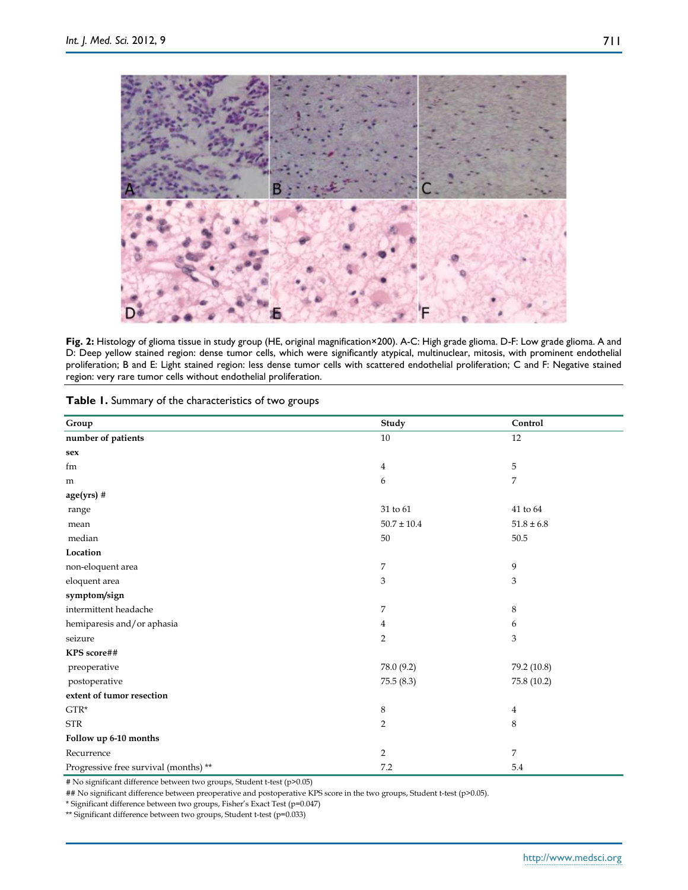

Fig. 2: Histology of glioma tissue in study group (HE, original magnification×200). A-C: High grade glioma. D-F: Low grade glioma. A and D: Deep yellow stained region: dense tumor cells, which were significantly atypical, multinuclear, mitosis, with prominent endothelial proliferation; B and E: Light stained region: less dense tumor cells with scattered endothelial proliferation; C and F: Negative stained region: very rare tumor cells without endothelial proliferation.

| Table 1. Summary of the characteristics of two groups |  |  |  |  |
|-------------------------------------------------------|--|--|--|--|
|-------------------------------------------------------|--|--|--|--|

| Group                                 | Study           | Control        |
|---------------------------------------|-----------------|----------------|
| number of patients                    | 10              | 12             |
| sex                                   |                 |                |
| fm                                    | $\overline{4}$  | 5              |
| m                                     | 6               | 7              |
| $age(yrs)$ #                          |                 |                |
| range                                 | 31 to 61        | 41 to 64       |
| mean                                  | $50.7 \pm 10.4$ | $51.8 \pm 6.8$ |
| median                                | 50              | 50.5           |
| Location                              |                 |                |
| non-eloquent area                     | $\overline{7}$  | 9              |
| eloquent area                         | 3               | 3              |
| symptom/sign                          |                 |                |
| intermittent headache                 | $\overline{7}$  | $\,8\,$        |
| hemiparesis and/or aphasia            | 4               | 6              |
| seizure                               | $\overline{2}$  | 3              |
| KPS score##                           |                 |                |
| preoperative                          | 78.0 (9.2)      | 79.2 (10.8)    |
| postoperative                         | 75.5(8.3)       | 75.8 (10.2)    |
| extent of tumor resection             |                 |                |
| $GTR*$                                | $\,$ 8 $\,$     | $\overline{4}$ |
| <b>STR</b>                            | $\overline{2}$  | 8              |
| Follow up 6-10 months                 |                 |                |
| Recurrence                            | $\overline{2}$  | 7              |
| Progressive free survival (months) ** | 7.2             | 5.4            |

# No significant difference between two groups, Student t-test (p>0.05)

## No significant difference between preoperative and postoperative KPS score in the two groups, Student t-test (p>0.05).

\* Significant difference between two groups, Fisher's Exact Test (p=0.047)

\*\* Significant difference between two groups, Student t-test (p=0.033)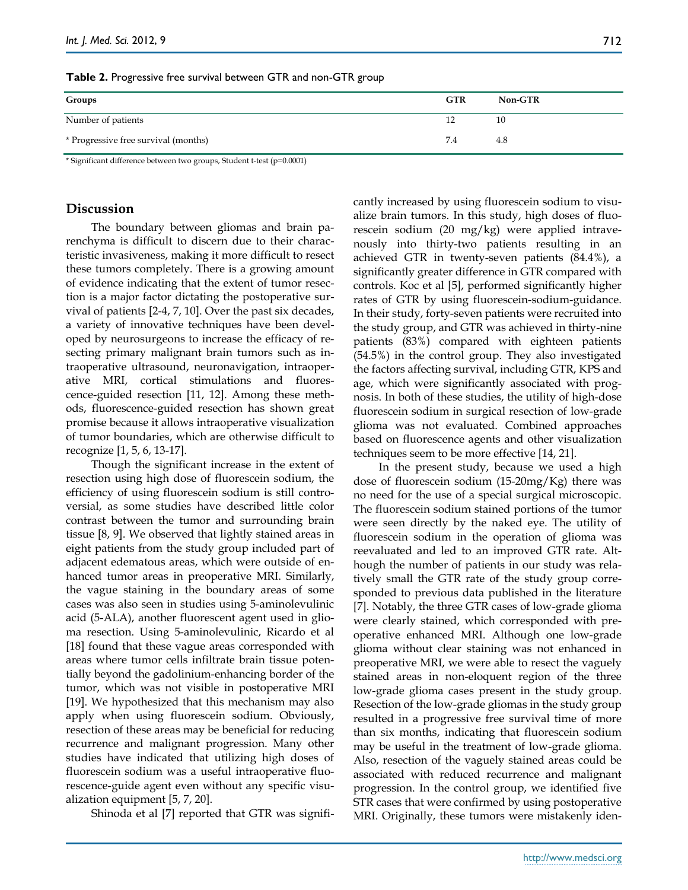|  | Table 2. Progressive free survival between GTR and non-GTR group |  |  |  |  |  |
|--|------------------------------------------------------------------|--|--|--|--|--|
|--|------------------------------------------------------------------|--|--|--|--|--|

| Groups                               | <b>GTR</b> | Non-GTR |
|--------------------------------------|------------|---------|
| Number of patients                   | 12         | 10      |
| * Progressive free survival (months) | 7.4        | 4.8     |

\* Significant difference between two groups, Student t-test (p=0.0001)

## **Discussion**

The boundary between gliomas and brain parenchyma is difficult to discern due to their characteristic invasiveness, making it more difficult to resect these tumors completely. There is a growing amount of evidence indicating that the extent of tumor resection is a major factor dictating the postoperative survival of patients [2-4, 7, 10]. Over the past six decades, a variety of innovative techniques have been developed by neurosurgeons to increase the efficacy of resecting primary malignant brain tumors such as intraoperative ultrasound, neuronavigation, intraoperative MRI, cortical stimulations and fluorescence-guided resection [11, 12]. Among these methods, fluorescence-guided resection has shown great promise because it allows intraoperative visualization of tumor boundaries, which are otherwise difficult to recognize [1, 5, 6, 13-17].

Though the significant increase in the extent of resection using high dose of fluorescein sodium, the efficiency of using fluorescein sodium is still controversial, as some studies have described little color contrast between the tumor and surrounding brain tissue [8, 9]. We observed that lightly stained areas in eight patients from the study group included part of adjacent edematous areas, which were outside of enhanced tumor areas in preoperative MRI. Similarly, the vague staining in the boundary areas of some cases was also seen in studies using 5-aminolevulinic acid (5-ALA), another fluorescent agent used in glioma resection. Using 5-aminolevulinic, Ricardo et al [18] found that these vague areas corresponded with areas where tumor cells infiltrate brain tissue potentially beyond the gadolinium-enhancing border of the tumor, which was not visible in postoperative MRI [19]. We hypothesized that this mechanism may also apply when using fluorescein sodium. Obviously, resection of these areas may be beneficial for reducing recurrence and malignant progression. Many other studies have indicated that utilizing high doses of fluorescein sodium was a useful intraoperative fluorescence-guide agent even without any specific visualization equipment [5, 7, 20].

Shinoda et al [7] reported that GTR was signifi-

cantly increased by using fluorescein sodium to visualize brain tumors. In this study, high doses of fluorescein sodium (20 mg/kg) were applied intravenously into thirty-two patients resulting in an achieved GTR in twenty-seven patients (84.4%), a significantly greater difference in GTR compared with controls. Koc et al [5], performed significantly higher rates of GTR by using fluorescein-sodium-guidance. In their study, forty-seven patients were recruited into the study group, and GTR was achieved in thirty-nine patients (83%) compared with eighteen patients (54.5%) in the control group. They also investigated the factors affecting survival, including GTR, KPS and age, which were significantly associated with prognosis. In both of these studies, the utility of high-dose fluorescein sodium in surgical resection of low-grade glioma was not evaluated. Combined approaches based on fluorescence agents and other visualization techniques seem to be more effective [14, 21].

In the present study, because we used a high dose of fluorescein sodium (15-20mg/Kg) there was no need for the use of a special surgical microscopic. The fluorescein sodium stained portions of the tumor were seen directly by the naked eye. The utility of fluorescein sodium in the operation of glioma was reevaluated and led to an improved GTR rate. Although the number of patients in our study was relatively small the GTR rate of the study group corresponded to previous data published in the literature [7]. Notably, the three GTR cases of low-grade glioma were clearly stained, which corresponded with preoperative enhanced MRI. Although one low-grade glioma without clear staining was not enhanced in preoperative MRI, we were able to resect the vaguely stained areas in non-eloquent region of the three low-grade glioma cases present in the study group. Resection of the low-grade gliomas in the study group resulted in a progressive free survival time of more than six months, indicating that fluorescein sodium may be useful in the treatment of low-grade glioma. Also, resection of the vaguely stained areas could be associated with reduced recurrence and malignant progression. In the control group, we identified five STR cases that were confirmed by using postoperative MRI. Originally, these tumors were mistakenly iden-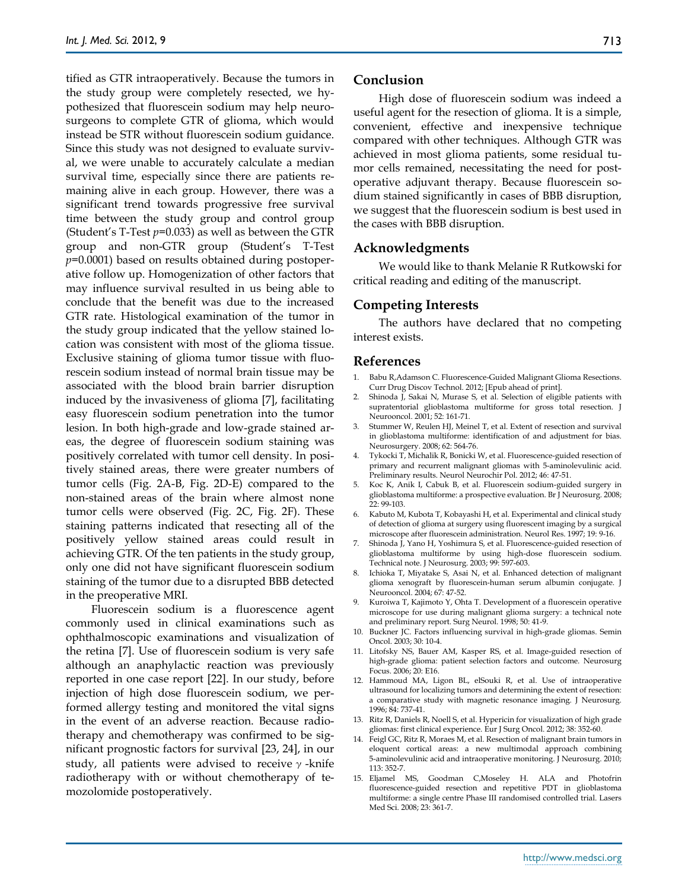tified as GTR intraoperatively. Because the tumors in the study group were completely resected, we hypothesized that fluorescein sodium may help neurosurgeons to complete GTR of glioma, which would instead be STR without fluorescein sodium guidance. Since this study was not designed to evaluate survival, we were unable to accurately calculate a median survival time, especially since there are patients remaining alive in each group. However, there was a significant trend towards progressive free survival time between the study group and control group (Student's T-Test *p*=0.033) as well as between the GTR group and non-GTR group (Student's T-Test *p*=0.0001) based on results obtained during postoperative follow up. Homogenization of other factors that may influence survival resulted in us being able to conclude that the benefit was due to the increased GTR rate. Histological examination of the tumor in the study group indicated that the yellow stained location was consistent with most of the glioma tissue. Exclusive staining of glioma tumor tissue with fluorescein sodium instead of normal brain tissue may be associated with the blood brain barrier disruption induced by the invasiveness of glioma [7], facilitating easy fluorescein sodium penetration into the tumor lesion. In both high-grade and low-grade stained areas, the degree of fluorescein sodium staining was positively correlated with tumor cell density. In positively stained areas, there were greater numbers of tumor cells (Fig. 2A-B, Fig. 2D-E) compared to the non-stained areas of the brain where almost none tumor cells were observed (Fig. 2C, Fig. 2F). These staining patterns indicated that resecting all of the positively yellow stained areas could result in achieving GTR. Of the ten patients in the study group, only one did not have significant fluorescein sodium staining of the tumor due to a disrupted BBB detected in the preoperative MRI.

Fluorescein sodium is a fluorescence agent commonly used in clinical examinations such as ophthalmoscopic examinations and visualization of the retina [7]. Use of fluorescein sodium is very safe although an anaphylactic reaction was previously reported in one case report [22]. In our study, before injection of high dose fluorescein sodium, we performed allergy testing and monitored the vital signs in the event of an adverse reaction. Because radiotherapy and chemotherapy was confirmed to be significant prognostic factors for survival [23, 24], in our study, all patients were advised to receive  $\gamma$ -knife radiotherapy with or without chemotherapy of temozolomide postoperatively.

#### **Conclusion**

High dose of fluorescein sodium was indeed a useful agent for the resection of glioma. It is a simple, convenient, effective and inexpensive technique compared with other techniques. Although GTR was achieved in most glioma patients, some residual tumor cells remained, necessitating the need for postoperative adjuvant therapy. Because fluorescein sodium stained significantly in cases of BBB disruption, we suggest that the fluorescein sodium is best used in the cases with BBB disruption.

#### **Acknowledgments**

We would like to thank Melanie R Rutkowski for critical reading and editing of the manuscript.

#### **Competing Interests**

The authors have declared that no competing interest exists.

#### **References**

- 1. Babu R,Adamson C. Fluorescence-Guided Malignant Glioma Resections. Curr Drug Discov Technol. 2012; [Epub ahead of print].
- 2. Shinoda J, Sakai N, Murase S, et al. Selection of eligible patients with supratentorial glioblastoma multiforme for gross total resection. J Neurooncol. 2001; 52: 161-71.
- 3. Stummer W, Reulen HJ, Meinel T, et al. Extent of resection and survival in glioblastoma multiforme: identification of and adjustment for bias. Neurosurgery. 2008; 62: 564-76.
- 4. Tykocki T, Michalik R, Bonicki W, et al. Fluorescence-guided resection of primary and recurrent malignant gliomas with 5-aminolevulinic acid. Preliminary results. Neurol Neurochir Pol. 2012; 46: 47-51.
- 5. Koc K, Anik I, Cabuk B, et al. Fluorescein sodium-guided surgery in glioblastoma multiforme: a prospective evaluation. Br J Neurosurg. 2008; 22: 99-103.
- 6. Kabuto M, Kubota T, Kobayashi H, et al. Experimental and clinical study of detection of glioma at surgery using fluorescent imaging by a surgical microscope after fluorescein administration. Neurol Res. 1997; 19: 9-16.
- 7. Shinoda J, Yano H, Yoshimura S, et al. Fluorescence-guided resection of glioblastoma multiforme by using high-dose fluorescein sodium. Technical note. J Neurosurg. 2003; 99: 597-603.
- 8. Ichioka T, Miyatake S, Asai N, et al. Enhanced detection of malignant glioma xenograft by fluorescein-human serum albumin conjugate. J Neurooncol. 2004; 67: 47-52.
- 9. Kuroiwa T, Kajimoto Y, Ohta T. Development of a fluorescein operative microscope for use during malignant glioma surgery: a technical note and preliminary report. Surg Neurol. 1998; 50: 41-9.
- 10. Buckner JC. Factors influencing survival in high-grade gliomas. Semin Oncol. 2003; 30: 10-4.
- 11. Litofsky NS, Bauer AM, Kasper RS, et al. Image-guided resection of high-grade glioma: patient selection factors and outcome. Neurosurg Focus. 2006; 20: E16.
- 12. Hammoud MA, Ligon BL, elSouki R, et al. Use of intraoperative ultrasound for localizing tumors and determining the extent of resection: a comparative study with magnetic resonance imaging. J Neurosurg. 1996; 84: 737-41.
- 13. Ritz R, Daniels R, Noell S, et al. Hypericin for visualization of high grade gliomas: first clinical experience. Eur J Surg Oncol. 2012; 38: 352-60.
- 14. Feigl GC, Ritz R, Moraes M, et al. Resection of malignant brain tumors in eloquent cortical areas: a new multimodal approach combining 5-aminolevulinic acid and intraoperative monitoring. J Neurosurg. 2010; 113: 352-7.
- 15. Eljamel MS, Goodman C,Moseley H. ALA and Photofrin fluorescence-guided resection and repetitive PDT in glioblastoma multiforme: a single centre Phase III randomised controlled trial. Lasers Med Sci. 2008; 23: 361-7.